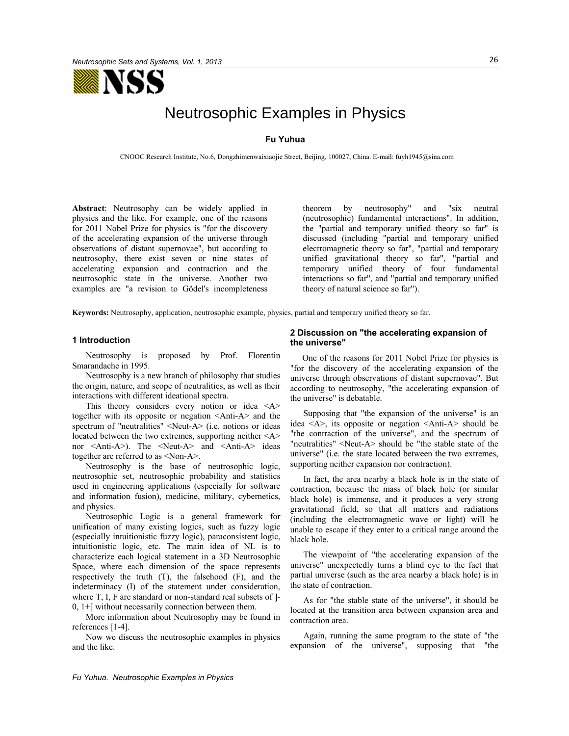

# Neutrosophic Examples in Physics

# **Fu Yuhua**

CNOOC Research Institute, No.6, Dongzhimenwaixiaojie Street, Beijing, 100027, China. E-mail: fuyh1945@sina.com

**Abstract**: Neutrosophy can be widely applied in physics and the like. For example, one of the reasons for 2011 Nobel Prize for physics is "for the discovery of the accelerating expansion of the universe through observations of distant supernovae", but according to neutrosophy, there exist seven or nine states of accelerating expansion and contraction and the neutrosophic state in the universe. Another two examples are "a revision to Gödel's incompleteness

theorem by neutrosophy" and "six neutral (neutrosophic) fundamental interactions". In addition, the "partial and temporary unified theory so far" is discussed (including "partial and temporary unified electromagnetic theory so far", "partial and temporary unified gravitational theory so far", "partial and temporary unified theory of four fundamental interactions so far", and "partial and temporary unified theory of natural science so far").

**Keywords:** Neutrosophy, application, neutrosophic example, physics, partial and temporary unified theory so far.

#### **1 Introduction**

Neutrosophy is proposed by Prof. Florentin Smarandache in 1995.

Neutrosophy is a new branch of philosophy that studies the origin, nature, and scope of neutralities, as well as their interactions with different ideational spectra.

This theory considers every notion or idea  $\langle A \rangle$ together with its opposite or negation <Anti-A> and the spectrum of "neutralities" <Neut-A> (i.e. notions or ideas located between the two extremes, supporting neither  $\langle A \rangle$ nor <Anti-A>). The <Neut-A> and <Anti-A> ideas together are referred to as <Non-A>.

Neutrosophy is the base of neutrosophic logic, neutrosophic set, neutrosophic probability and statistics used in engineering applications (especially for software and information fusion), medicine, military, cybernetics, and physics.

Neutrosophic Logic is a general framework for unification of many existing logics, such as fuzzy logic (especially intuitionistic fuzzy logic), paraconsistent logic, intuitionistic logic, etc. The main idea of NL is to characterize each logical statement in a 3D Neutrosophic Space, where each dimension of the space represents respectively the truth (T), the falsehood (F), and the indeterminacy (I) of the statement under consideration, where T, I, F are standard or non-standard real subsets of ]-0, 1+[ without necessarily connection between them.

More information about Neutrosophy may be found in references [1-4].

Now we discuss the neutrosophic examples in physics and the like.

#### **2 Discussion on "the accelerating expansion of the universe"**

One of the reasons for 2011 Nobel Prize for physics is "for the discovery of the accelerating expansion of the universe through observations of distant supernovae". But according to neutrosophy, "the accelerating expansion of the universe" is debatable.

Supposing that "the expansion of the universe" is an idea <A>, its opposite or negation <Anti-A> should be "the contraction of the universe", and the spectrum of "neutralities" <Neut-A> should be "the stable state of the universe" (i.e. the state located between the two extremes, supporting neither expansion nor contraction).

In fact, the area nearby a black hole is in the state of contraction, because the mass of black hole (or similar black hole) is immense, and it produces a very strong gravitational field, so that all matters and radiations (including the electromagnetic wave or light) will be unable to escape if they enter to a critical range around the black hole.

The viewpoint of "the accelerating expansion of the universe" unexpectedly turns a blind eye to the fact that partial universe (such as the area nearby a black hole) is in the state of contraction.

As for "the stable state of the universe", it should be located at the transition area between expansion area and contraction area.

Again, running the same program to the state of "the expansion of the universe", supposing that "the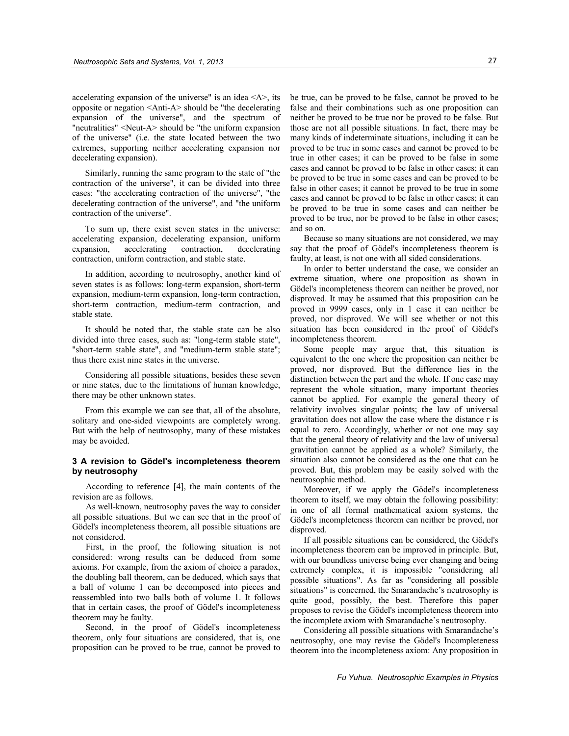accelerating expansion of the universe" is an idea  $\langle A \rangle$ , its opposite or negation <Anti-A> should be "the decelerating expansion of the universe", and the spectrum of "neutralities" <Neut-A> should be "the uniform expansion of the universe" (i.e. the state located between the two extremes, supporting neither accelerating expansion nor decelerating expansion).

Similarly, running the same program to the state of "the contraction of the universe", it can be divided into three cases: "the accelerating contraction of the universe", "the decelerating contraction of the universe", and "the uniform contraction of the universe".

To sum up, there exist seven states in the universe: accelerating expansion, decelerating expansion, uniform expansion, accelerating contraction, decelerating contraction, uniform contraction, and stable state.

In addition, according to neutrosophy, another kind of seven states is as follows: long-term expansion, short-term expansion, medium-term expansion, long-term contraction, short-term contraction, medium-term contraction, and stable state.

It should be noted that, the stable state can be also divided into three cases, such as: "long-term stable state", "short-term stable state", and "medium-term stable state"; thus there exist nine states in the universe.

Considering all possible situations, besides these seven or nine states, due to the limitations of human knowledge, there may be other unknown states.

From this example we can see that, all of the absolute, solitary and one-sided viewpoints are completely wrong. But with the help of neutrosophy, many of these mistakes may be avoided.

## **3 A revision to Gödel's incompleteness theorem by neutrosophy**

According to reference [4], the main contents of the revision are as follows.

As well-known, neutrosophy paves the way to consider all possible situations. But we can see that in the proof of Gödel's incompleteness theorem, all possible situations are not considered.

First, in the proof, the following situation is not considered: wrong results can be deduced from some axioms. For example, from the axiom of choice a paradox, the doubling ball theorem, can be deduced, which says that a ball of volume 1 can be decomposed into pieces and reassembled into two balls both of volume 1. It follows that in certain cases, the proof of Gödel's incompleteness theorem may be faulty.

Second, in the proof of Gödel's incompleteness theorem, only four situations are considered, that is, one proposition can be proved to be true, cannot be proved to be true, can be proved to be false, cannot be proved to be false and their combinations such as one proposition can neither be proved to be true nor be proved to be false. But those are not all possible situations. In fact, there may be many kinds of indeterminate situations, including it can be proved to be true in some cases and cannot be proved to be true in other cases; it can be proved to be false in some cases and cannot be proved to be false in other cases; it can be proved to be true in some cases and can be proved to be false in other cases; it cannot be proved to be true in some cases and cannot be proved to be false in other cases; it can be proved to be true in some cases and can neither be proved to be true, nor be proved to be false in other cases; and so on.

Because so many situations are not considered, we may say that the proof of Gödel's incompleteness theorem is faulty, at least, is not one with all sided considerations.

In order to better understand the case, we consider an extreme situation, where one proposition as shown in Gödel's incompleteness theorem can neither be proved, nor disproved. It may be assumed that this proposition can be proved in 9999 cases, only in 1 case it can neither be proved, nor disproved. We will see whether or not this situation has been considered in the proof of Gödel's incompleteness theorem.

Some people may argue that, this situation is equivalent to the one where the proposition can neither be proved, nor disproved. But the difference lies in the distinction between the part and the whole. If one case may represent the whole situation, many important theories cannot be applied. For example the general theory of relativity involves singular points; the law of universal gravitation does not allow the case where the distance r is equal to zero. Accordingly, whether or not one may say that the general theory of relativity and the law of universal gravitation cannot be applied as a whole? Similarly, the situation also cannot be considered as the one that can be proved. But, this problem may be easily solved with the neutrosophic method.

Moreover, if we apply the Gödel's incompleteness theorem to itself, we may obtain the following possibility: in one of all formal mathematical axiom systems, the Gödel's incompleteness theorem can neither be proved, nor disproved.

If all possible situations can be considered, the Gödel's incompleteness theorem can be improved in principle. But, with our boundless universe being ever changing and being extremely complex, it is impossible "considering all possible situations". As far as "considering all possible situations" is concerned, the Smarandache's neutrosophy is quite good, possibly, the best. Therefore this paper proposes to revise the Gödel's incompleteness theorem into the incomplete axiom with Smarandache's neutrosophy.

Considering all possible situations with Smarandache's neutrosophy, one may revise the Gödel's Incompleteness theorem into the incompleteness axiom: Any proposition in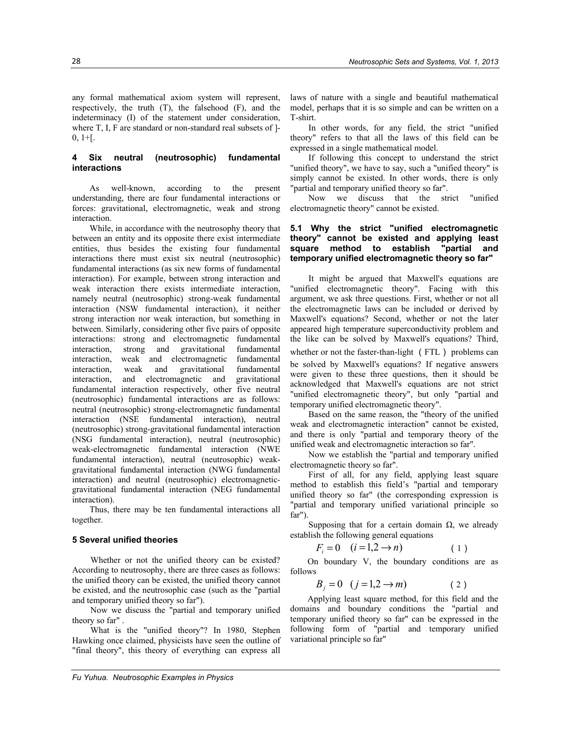any formal mathematical axiom system will represent, respectively, the truth (T), the falsehood (F), and the indeterminacy (I) of the statement under consideration, where T, I, F are standard or non-standard real subsets of  $\vert$ - $0, 1 + 1$ .

# **4 Six neutral (neutrosophic) fundamental interactions**

As well-known, according to the present understanding, there are four fundamental interactions or forces: gravitational, electromagnetic, weak and strong interaction.

While, in accordance with the neutrosophy theory that between an entity and its opposite there exist intermediate entities, thus besides the existing four fundamental interactions there must exist six neutral (neutrosophic) fundamental interactions (as six new forms of fundamental interaction). For example, between strong interaction and weak interaction there exists intermediate interaction, namely neutral (neutrosophic) strong-weak fundamental interaction (NSW fundamental interaction), it neither strong interaction nor weak interaction, but something in between. Similarly, considering other five pairs of opposite interactions: strong and electromagnetic fundamental interaction, strong and gravitational fundamental interaction, weak and electromagnetic fundamental interaction, weak and gravitational fundamental interaction, and electromagnetic and gravitational fundamental interaction respectively, other five neutral (neutrosophic) fundamental interactions are as follows: neutral (neutrosophic) strong-electromagnetic fundamental interaction (NSE fundamental interaction), neutral (neutrosophic) strong-gravitational fundamental interaction (NSG fundamental interaction), neutral (neutrosophic) weak-electromagnetic fundamental interaction (NWE fundamental interaction), neutral (neutrosophic) weakgravitational fundamental interaction (NWG fundamental interaction) and neutral (neutrosophic) electromagneticgravitational fundamental interaction (NEG fundamental interaction).

Thus, there may be ten fundamental interactions all together.

#### **5 Several unified theories**

Whether or not the unified theory can be existed? According to neutrosophy, there are three cases as follows: the unified theory can be existed, the unified theory cannot be existed, and the neutrosophic case (such as the "partial and temporary unified theory so far").

Now we discuss the "partial and temporary unified theory so far" .

What is the "unified theory"? In 1980, Stephen Hawking once claimed, physicists have seen the outline of "final theory", this theory of everything can express all

laws of nature with a single and beautiful mathematical model, perhaps that it is so simple and can be written on a T-shirt.

In other words, for any field, the strict "unified theory" refers to that all the laws of this field can be expressed in a single mathematical model.

If following this concept to understand the strict "unified theory", we have to say, such a "unified theory" is simply cannot be existed. In other words, there is only "partial and temporary unified theory so far".

Now we discuss that the strict "unified electromagnetic theory" cannot be existed.

# **5.1 Why the strict "unified electromagnetic theory" cannot be existed and applying least square method to establish "partial and temporary unified electromagnetic theory so far"**

It might be argued that Maxwell's equations are "unified electromagnetic theory". Facing with this argument, we ask three questions. First, whether or not all the electromagnetic laws can be included or derived by Maxwell's equations? Second, whether or not the later appeared high temperature superconductivity problem and the like can be solved by Maxwell's equations? Third, whether or not the faster-than-light (FTL) problems can be solved by Maxwell's equations? If negative answers

were given to these three questions, then it should be acknowledged that Maxwell's equations are not strict "unified electromagnetic theory", but only "partial and temporary unified electromagnetic theory".

Based on the same reason, the "theory of the unified weak and electromagnetic interaction" cannot be existed, and there is only "partial and temporary theory of the unified weak and electromagnetic interaction so far".

Now we establish the "partial and temporary unified electromagnetic theory so far".

First of all, for any field, applying least square method to establish this field's "partial and temporary unified theory so far" (the corresponding expression is "partial and temporary unified variational principle so far").

Supposing that for a certain domain  $\Omega$ , we already establish the following general equations

$$
F_i = 0 \quad (i = 1, 2 \rightarrow n) \tag{1}
$$

On boundary V, the boundary conditions are as follows

$$
B_j = 0 \quad (j = 1, 2 \rightarrow m) \tag{2}
$$

Applying least square method, for this field and the domains and boundary conditions the "partial and temporary unified theory so far" can be expressed in the following form of "partial and temporary unified variational principle so far"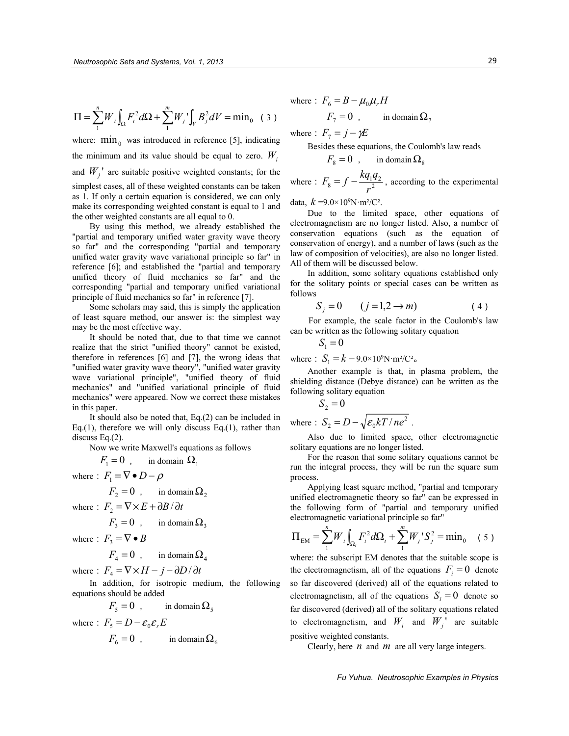$$
\Pi = \sum_{1}^{n} W_{i} \int_{\Omega} F_{i}^{2} d\Omega + \sum_{1}^{m} W_{j} \int_{V} B_{j}^{2} dV = \min_{0} \quad (3)
$$

where:  $\min_0$  was introduced in reference [5], indicating the minimum and its value should be equal to zero.  $W_i$ and  $W_i'$  are suitable positive weighted constants; for the simplest cases, all of these weighted constants can be taken as 1. If only a certain equation is considered, we can only make its corresponding weighted constant is equal to 1 and the other weighted constants are all equal to 0.

By using this method, we already established the "partial and temporary unified water gravity wave theory so far" and the corresponding "partial and temporary unified water gravity wave variational principle so far" in reference [6]; and established the "partial and temporary unified theory of fluid mechanics so far" and the corresponding "partial and temporary unified variational principle of fluid mechanics so far" in reference [7].

Some scholars may said, this is simply the application of least square method, our answer is: the simplest way may be the most effective way.

It should be noted that, due to that time we cannot realize that the strict "unified theory" cannot be existed, therefore in references [6] and [7], the wrong ideas that "unified water gravity wave theory", "unified water gravity wave variational principle", "unified theory of fluid mechanics" and "unified variational principle of fluid mechanics" were appeared. Now we correct these mistakes in this paper.

It should also be noted that, Eq.(2) can be included in Eq.(1), therefore we will only discuss Eq.(1), rather than discuss Eq.(2).

Now we write Maxwell's equations as follows

 $F_1 = 0$ , in domain  $\Omega_1$ 

where:  $F_1 = \nabla \bullet D - \rho$ 

$$
F_2 = 0 \, , \qquad \text{in domain } \Omega_2
$$

where : 
$$
F_2 = \nabla \times E + \frac{\partial B}{\partial t}
$$

$$
F_3 = 0 \quad , \quad \text{in domain } \Omega_3
$$

where:  $F_3 = \nabla \cdot B$ 

$$
F_4 = 0 \quad , \quad \text{in domain } \Omega_4
$$

where:  $F_4 = \nabla \times H - j - \frac{\partial D}{\partial t}$ 

In addition, for isotropic medium, the following equations should be added

$$
F_5 = 0 \t , \t in domain  $\Omega_5$
$$

where:  $F_5 = D - \varepsilon_0 \varepsilon_r E$  $F_6 = 0$ , in domain  $\Omega_6$ 

where : 
$$
F_6 = B - \mu_0 \mu_r H
$$

 $F_7 = 0$ , in domain  $\Omega_7$ 

where:  $F_7 = j - \gamma E$ 

Besides these equations, the Coulomb's law reads

$$
F_8 = 0 \quad , \quad \text{in domain } \Omega_8
$$

where :  $F_8 = f - \frac{nq_1q_2}{r^2}$  $F<sub>g</sub> = f - \frac{kq_1q_2}{r^2}$ , according to the experimental

data,  $k = 9.0 \times 10^9 \text{N} \cdot \text{m}^2/\text{C}^2$ .

Due to the limited space, other equations of electromagnetism are no longer listed. Also, a number of conservation equations (such as the equation of conservation of energy), and a number of laws (such as the law of composition of velocities), are also no longer listed. All of them will be discussed below.

In addition, some solitary equations established only for the solitary points or special cases can be written as follows

$$
S_j = 0 \qquad (j = 1, 2 \rightarrow m) \tag{4}
$$

For example, the scale factor in the Coulomb's law can be written as the following solitary equation

$$
S_1 = 0
$$

where :  $S_1 = k - 9.0 \times 10^9 \text{N} \cdot \text{m}^2/\text{C}^2$ .

Another example is that, in plasma problem, the shielding distance (Debye distance) can be written as the following solitary equation

$$
S_2 = 0
$$
  
where : 
$$
S_2 = D - \sqrt{\varepsilon_0 kT / ne^2}
$$
.

Also due to limited space, other electromagnetic solitary equations are no longer listed.

For the reason that some solitary equations cannot be run the integral process, they will be run the square sum process.

Applying least square method, "partial and temporary unified electromagnetic theory so far" can be expressed in the following form of "partial and temporary unified electromagnetic variational principle so far"

$$
\Pi_{EM} = \sum_{1}^{n} W_i \int_{\Omega_i} F_i^2 d\Omega_i + \sum_{1}^{m} W_j^{\dagger} S_j^2 = \min_0 \quad (5)
$$

where: the subscript EM denotes that the suitable scope is the electromagnetism, all of the equations  $F_i = 0$  denote so far discovered (derived) all of the equations related to electromagnetism, all of the equations  $S_i = 0$  denote so far discovered (derived) all of the solitary equations related to electromagnetism, and  $W_i$  and  $W_j'$  are suitable positive weighted constants.

Clearly, here *n* and *m* are all very large integers.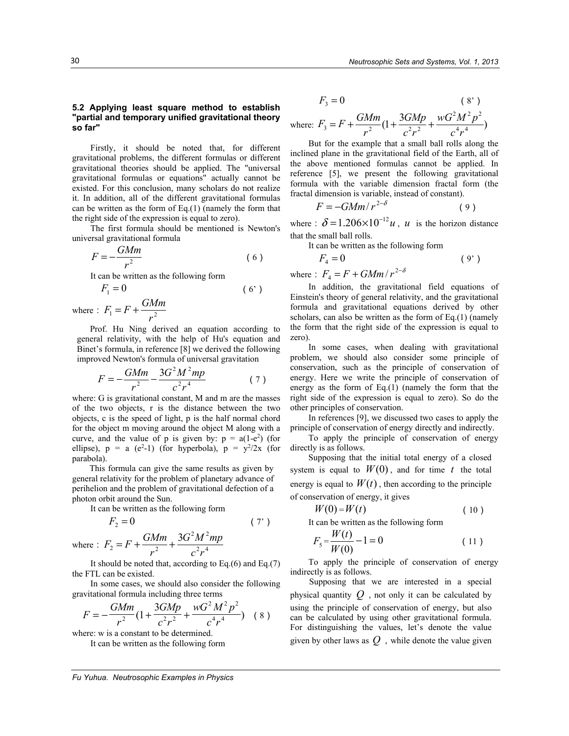### **5.2 Applying least square method to establish "partial and temporary unified gravitational theory so far"**

Firstly, it should be noted that, for different gravitational problems, the different formulas or different gravitational theories should be applied. The "universal gravitational formulas or equations" actually cannot be existed. For this conclusion, many scholars do not realize it. In addition, all of the different gravitational formulas can be written as the form of Eq.(1) (namely the form that the right side of the expression is equal to zero).

The first formula should be mentioned is Newton's universal gravitational formula

$$
F = -\frac{GMm}{r^2} \tag{6}
$$

It can be written as the following form

$$
F_1 = 0 \tag{6'}
$$

where :  $F_1 = F + \frac{24}{r^2}$  $F_1 = F + \frac{GMm}{r^2}$ 

Prof. Hu Ning derived an equation according to general relativity, with the help of Hu's equation and Binet's formula, in reference [8] we derived the following improved Newton's formula of universal gravitation

$$
F = -\frac{GMm}{r^2} - \frac{3G^2M^2mp}{c^2r^4}
$$
 (7)

where: G is gravitational constant, M and m are the masses of the two objects, r is the distance between the two objects, c is the speed of light, p is the half normal chord for the object m moving around the object M along with a curve, and the value of p is given by:  $p = a(1-e^2)$  (for ellipse),  $p = a$  (e<sup>2</sup>-1) (for hyperbola),  $p = y^2/2x$  (for parabola).

This formula can give the same results as given by general relativity for the problem of planetary advance of perihelion and the problem of gravitational defection of a photon orbit around the Sun.

It can be written as the following form

$$
F_2 = 0 \tag{7'}
$$

where :  $F_2 = F + \frac{2}{r^2} + \frac{2}{r^2}$  $2M^2$  $2^{-1}$   $\frac{1}{2}$ 3  $c^2r$  $G^2M^2$ mp *r*  $F_2 = F + \frac{GMm}{r^2} +$ 

It should be noted that, according to Eq.(6) and Eq.(7) the FTL can be existed.

In some cases, we should also consider the following gravitational formula including three terms

$$
F = -\frac{GMm}{r^2} \left(1 + \frac{3GMp}{c^2r^2} + \frac{wG^2M^2p^2}{c^4r^4}\right) \quad (8)
$$

where: w is a constant to be determined.

It can be written as the following form

$$
F_3 = 0 \tag{8'}
$$

where: 
$$
F_3 = F + \frac{GMm}{r^2} (1 + \frac{3GMp}{c^2 r^2} + \frac{wG^2 M^2 p^2}{c^4 r^4})
$$

But for the example that a small ball rolls along the inclined plane in the gravitational field of the Earth, all of the above mentioned formulas cannot be applied. In reference [5], we present the following gravitational formula with the variable dimension fractal form (the fractal dimension is variable, instead of constant).

$$
F = -GMm/r^{2-\delta} \tag{9}
$$

where :  $\delta = 1.206 \times 10^{-12} u$ , *u* is the horizon distance that the small ball rolls.

It can be written as the following form

$$
F_4 = 0 \tag{9'}
$$

where :  $F_4 = F + GMm/r^{2-\delta}$ 

In addition, the gravitational field equations of Einstein's theory of general relativity, and the gravitational formula and gravitational equations derived by other scholars, can also be written as the form of Eq.(1) (namely the form that the right side of the expression is equal to zero).

In some cases, when dealing with gravitational problem, we should also consider some principle of conservation, such as the principle of conservation of energy. Here we write the principle of conservation of energy as the form of Eq.(1) (namely the form that the right side of the expression is equal to zero). So do the other principles of conservation.

In references [9], we discussed two cases to apply the principle of conservation of energy directly and indirectly.

To apply the principle of conservation of energy directly is as follows.

Supposing that the initial total energy of a closed system is equal to  $W(0)$ , and for time *t* the total energy is equal to  $W(t)$ , then according to the principle of conservation of energy, it gives

$$
W(0) = W(t) \tag{10}
$$

It can be written as the following form

$$
F_{5} = \frac{W(t)}{W(0)} - 1 = 0
$$
 (11)

To apply the principle of conservation of energy indirectly is as follows.

Supposing that we are interested in a special physical quantity  $Q$ , not only it can be calculated by using the principle of conservation of energy, but also can be calculated by using other gravitational formula. For distinguishing the values, let's denote the value given by other laws as  $Q$ , while denote the value given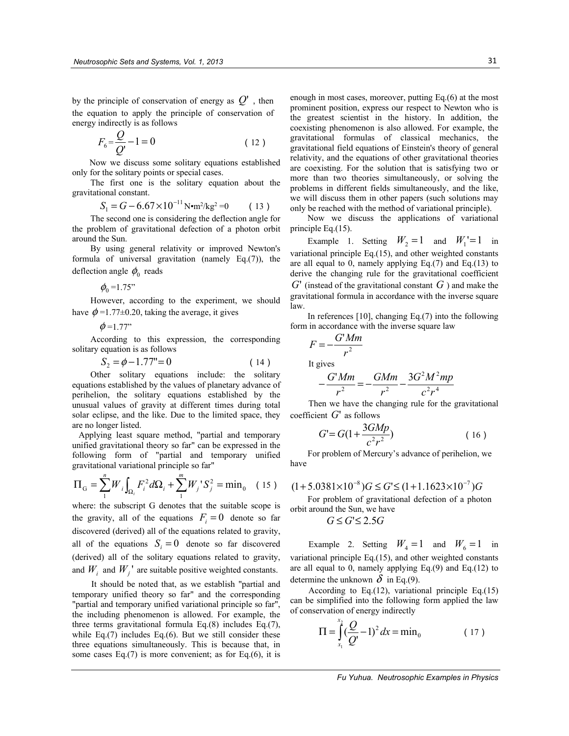by the principle of conservation of energy as  $Q'$ , then the equation to apply the principle of conservation of energy indirectly is as follows

$$
F_6 = \frac{Q}{Q'} - 1 = 0 \tag{12}
$$

Now we discuss some solitary equations established only for the solitary points or special cases.

The first one is the solitary equation about the gravitational constant. 11

$$
S_1 = G - 6.67 \times 10^{-11} \,\text{N} \cdot \text{m}^2/\text{kg}^2 = 0 \tag{13}
$$

The second one is considering the deflection angle for the problem of gravitational defection of a photon orbit around the Sun.

By using general relativity or improved Newton's formula of universal gravitation (namely Eq.(7)), the deflection angle  $\phi_0$  reads

$$
\phi_0 = 1.75
$$

However, according to the experiment, we should have  $\phi$  =1.77±0.20, taking the average, it gives

 $\phi = 1.77$ "

According to this expression, the corresponding solitary equation is as follows

$$
S_2 = \phi - 1.77" = 0 \tag{14}
$$

Other solitary equations include: the solitary equations established by the values of planetary advance of perihelion, the solitary equations established by the unusual values of gravity at different times during total solar eclipse, and the like. Due to the limited space, they are no longer listed.

 Applying least square method, "partial and temporary unified gravitational theory so far" can be expressed in the following form of "partial and temporary unified gravitational variational principle so far"

$$
\Pi_{\rm G} = \sum_{1}^{n} W_i \int_{\Omega_i} F_i^2 d\Omega_i + \sum_{1}^{m} W_j^{\dagger} S_j^2 = \min_0 \quad (15)
$$

where: the subscript G denotes that the suitable scope is the gravity, all of the equations  $F_i = 0$  denote so far discovered (derived) all of the equations related to gravity, all of the equations  $S_i = 0$  denote so far discovered (derived) all of the solitary equations related to gravity, and  $W_i$  and  $W_j$ <sup>'</sup> are suitable positive weighted constants.

It should be noted that, as we establish "partial and temporary unified theory so far" and the corresponding "partial and temporary unified variational principle so far", the including phenomenon is allowed. For example, the three terms gravitational formula Eq.(8) includes Eq.(7), while Eq.(7) includes Eq.(6). But we still consider these three equations simultaneously. This is because that, in some cases Eq.(7) is more convenient; as for Eq.(6), it is enough in most cases, moreover, putting Eq.(6) at the most prominent position, express our respect to Newton who is the greatest scientist in the history. In addition, the coexisting phenomenon is also allowed. For example, the gravitational formulas of classical mechanics, the gravitational field equations of Einstein's theory of general relativity, and the equations of other gravitational theories are coexisting. For the solution that is satisfying two or more than two theories simultaneously, or solving the problems in different fields simultaneously, and the like, we will discuss them in other papers (such solutions may only be reached with the method of variational principle).

Now we discuss the applications of variational principle Eq.(15).

Example 1. Setting  $W_2 = 1$  and  $W_1' = 1$  in variational principle Eq.(15), and other weighted constants are all equal to 0, namely applying Eq. $(7)$  and Eq. $(13)$  to derive the changing rule for the gravitational coefficient *G*' (instead of the gravitational constant *G* ) and make the gravitational formula in accordance with the inverse square law.

In references [10], changing Eq.(7) into the following form in accordance with the inverse square law

$$
F = -\frac{G'Mm}{r^2}
$$
  
It gives  

$$
-\frac{G'Mm}{r^2} = -\frac{GMm}{r^2} - \frac{3}{r^2}
$$

Then we have the changing rule for the gravitational coefficient *G*' as follows

$$
G' = G\left(1 + \frac{3GMp}{c^2r^2}\right) \tag{16}
$$

 $2,4$  $2M^2$ 

 $c^2r$  $G^2M^2$ mp

For problem of Mercury's advance of perihelion, we have

# $(1+5.0381\times10^{-8})$  $G \le G \le (1+1.1623\times10^{-7})$  $G$

For problem of gravitational defection of a photon orbit around the Sun, we have

 $G \leq G \leq 2.5G$ 

Example 2. Setting  $W_4 = 1$  and  $W_6 = 1$  in variational principle Eq.(15), and other weighted constants are all equal to 0, namely applying Eq.(9) and Eq.(12) to determine the unknown  $\delta$  in Eq.(9).

According to Eq.(12), variational principle Eq.(15) can be simplified into the following form applied the law of conservation of energy indirectly

$$
\Pi = \int_{x_1}^{x_2} \left(\frac{Q}{Q'} - 1\right)^2 dx = \min_0 \tag{17}
$$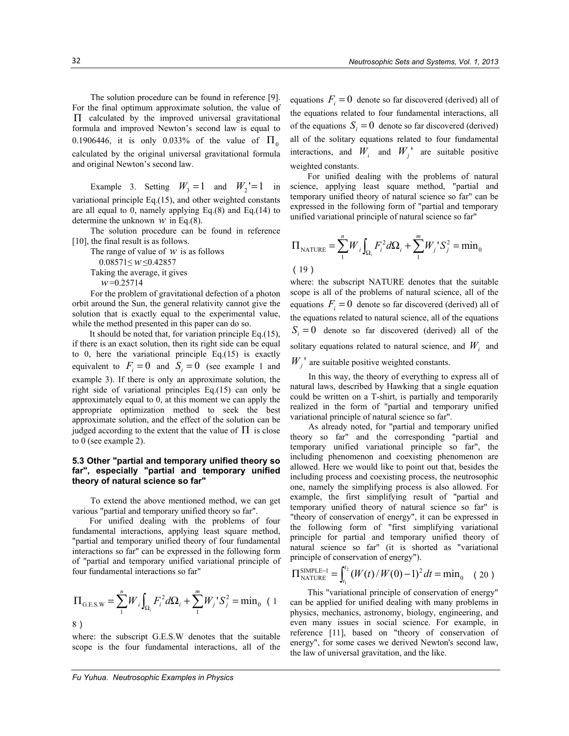The solution procedure can be found in reference [9]. For the final optimum approximate solution, the value of  $\Pi$  calculated by the improved universal gravitational formula and improved Newton's second law is equal to 0.1906446, it is only 0.033% of the value of  $\Pi_0$ calculated by the original universal gravitational formula and original Newton's second law.

Example 3. Setting  $W_3 = 1$  and  $W_2' = 1$  in variational principle Eq.(15), and other weighted constants are all equal to 0, namely applying Eq. $(8)$  and Eq. $(14)$  to determine the unknown *w* in Eq.(8).

The solution procedure can be found in reference [10], the final result is as follows.

The range of value of *w* is as follows 0.08571≤*w*≤0.42857 Taking the average, it gives *w*=0.25714

For the problem of gravitational defection of a photon orbit around the Sun, the general relativity cannot give the solution that is exactly equal to the experimental value, while the method presented in this paper can do so.

It should be noted that, for variation principle Eq.(15), if there is an exact solution, then its right side can be equal to 0, here the variational principle Eq.(15) is exactly equivalent to  $F_i = 0$  and  $S_i = 0$  (see example 1 and example 3). If there is only an approximate solution, the right side of variational principles Eq.(15) can only be approximately equal to 0, at this moment we can apply the appropriate optimization method to seek the best approximate solution, and the effect of the solution can be judged according to the extent that the value of  $\Pi$  is close to 0 (see example 2).

# **5.3 Other "partial and temporary unified theory so far", especially "partial and temporary unified theory of natural science so far"**

To extend the above mentioned method, we can get various "partial and temporary unified theory so far".

For unified dealing with the problems of four fundamental interactions, applying least square method, "partial and temporary unified theory of four fundamental interactions so far" can be expressed in the following form of "partial and temporary unified variational principle of four fundamental interactions so far"

$$
\Pi_{\text{G.E.S.W}} = \sum_{1}^{n} W_i \int_{\Omega_i} F_i^2 d\Omega_i + \sum_{1}^{m} W_j^{\dagger} S_j^2 = \min_0 (1
$$
8)

where: the subscript G.E.S.W denotes that the suitable scope is the four fundamental interactions, all of the

equations  $F_i = 0$  denote so far discovered (derived) all of the equations related to four fundamental interactions, all of the equations  $S_i = 0$  denote so far discovered (derived) all of the solitary equations related to four fundamental interactions, and  $W_i$  and  $W_j'$  are suitable positive weighted constants.

For unified dealing with the problems of natural science, applying least square method, "partial and temporary unified theory of natural science so far" can be expressed in the following form of "partial and temporary unified variational principle of natural science so far"

$$
\Pi_{\text{NATURE}} = \sum_{1}^{n} W_i \int_{\Omega_i} F_i^2 d\Omega_i + \sum_{1}^{m} W_j^{\dagger} S_j^2 = \min_0
$$
\n(19)

where: the subscript NATURE denotes that the suitable scope is all of the problems of natural science, all of the equations  $F_i = 0$  denote so far discovered (derived) all of the equations related to natural science, all of the equations  $S_i = 0$  denote so far discovered (derived) all of the solitary equations related to natural science, and  $W_i$  and  $W_j'$  are suitable positive weighted constants.

In this way, the theory of everything to express all of natural laws, described by Hawking that a single equation could be written on a T-shirt, is partially and temporarily realized in the form of "partial and temporary unified variational principle of natural science so far".

As already noted, for "partial and temporary unified theory so far" and the corresponding "partial and temporary unified variational principle so far", the including phenomenon and coexisting phenomenon are allowed. Here we would like to point out that, besides the including process and coexisting process, the neutrosophic one, namely the simplifying process is also allowed. For example, the first simplifying result of "partial and temporary unified theory of natural science so far" is "theory of conservation of energy", it can be expressed in the following form of "first simplifying variational principle for partial and temporary unified theory of natural science so far" (it is shorted as "variational principle of conservation of energy").

$$
\Pi_{\text{NATURE-1}}^{\text{SIMPLE-1}} = \int_{t_1}^{t_2} \left( W(t) / W(0) - 1 \right)^2 dt = \min_0 \quad (20)
$$

This "variational principle of conservation of energy" can be applied for unified dealing with many problems in physics, mechanics, astronomy, biology, engineering, and even many issues in social science. For example, in reference [11], based on "theory of conservation of energy", for some cases we derived Newton's second law, the law of universal gravitation, and the like.